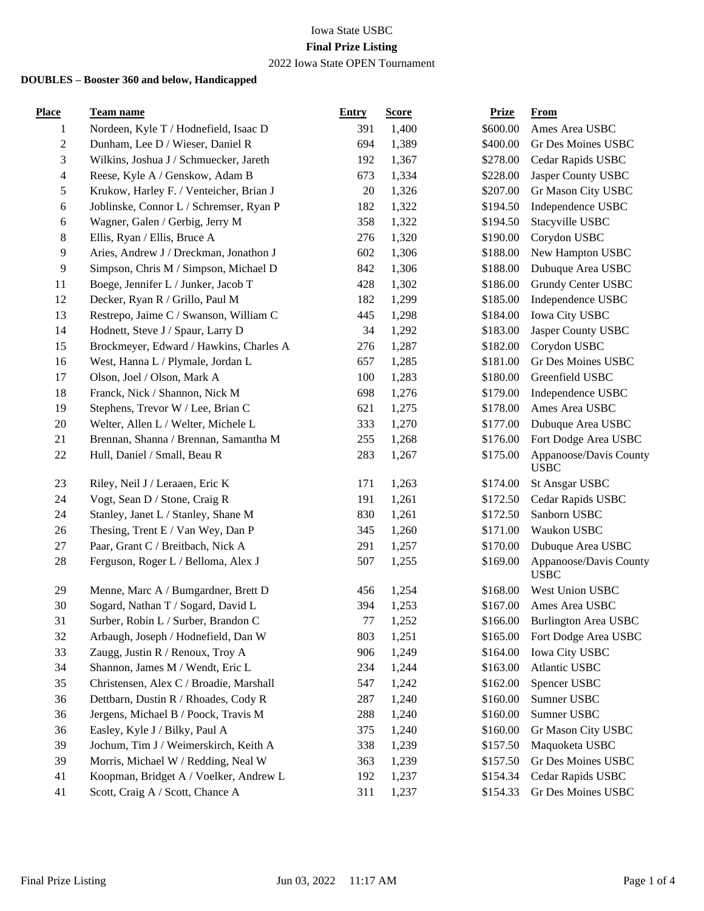### Iowa State USBC **Final Prize Listing** 2022 Iowa State OPEN Tournament

| <b>Place</b>            | Team name                               | <b>Entry</b> | <b>Score</b> | <b>Prize</b> | <b>From</b>                           |
|-------------------------|-----------------------------------------|--------------|--------------|--------------|---------------------------------------|
| 1                       | Nordeen, Kyle T / Hodnefield, Isaac D   | 391          | 1,400        | \$600.00     | Ames Area USBC                        |
| $\boldsymbol{2}$        | Dunham, Lee D / Wieser, Daniel R        | 694          | 1,389        | \$400.00     | Gr Des Moines USBC                    |
| 3                       | Wilkins, Joshua J / Schmuecker, Jareth  | 192          | 1,367        | \$278.00     | Cedar Rapids USBC                     |
| $\overline{\mathbf{4}}$ | Reese, Kyle A / Genskow, Adam B         | 673          | 1,334        | \$228.00     | Jasper County USBC                    |
| 5                       | Krukow, Harley F. / Venteicher, Brian J | $20\,$       | 1,326        | \$207.00     | Gr Mason City USBC                    |
| 6                       | Joblinske, Connor L / Schremser, Ryan P | 182          | 1,322        | \$194.50     | Independence USBC                     |
| 6                       | Wagner, Galen / Gerbig, Jerry M         | 358          | 1,322        | \$194.50     | Stacyville USBC                       |
| 8                       | Ellis, Ryan / Ellis, Bruce A            | 276          | 1,320        | \$190.00     | Corydon USBC                          |
| 9                       | Aries, Andrew J / Dreckman, Jonathon J  | 602          | 1,306        | \$188.00     | New Hampton USBC                      |
| 9                       | Simpson, Chris M / Simpson, Michael D   | 842          | 1,306        | \$188.00     | Dubuque Area USBC                     |
| 11                      | Boege, Jennifer L / Junker, Jacob T     | 428          | 1,302        | \$186.00     | Grundy Center USBC                    |
| 12                      | Decker, Ryan R / Grillo, Paul M         | 182          | 1,299        | \$185.00     | Independence USBC                     |
| 13                      | Restrepo, Jaime C / Swanson, William C  | 445          | 1,298        | \$184.00     | Iowa City USBC                        |
| 14                      | Hodnett, Steve J / Spaur, Larry D       | 34           | 1,292        | \$183.00     | Jasper County USBC                    |
| 15                      | Brockmeyer, Edward / Hawkins, Charles A | 276          | 1,287        | \$182.00     | Corydon USBC                          |
| 16                      | West, Hanna L / Plymale, Jordan L       | 657          | 1,285        | \$181.00     | Gr Des Moines USBC                    |
| 17                      | Olson, Joel / Olson, Mark A             | 100          | 1,283        | \$180.00     | Greenfield USBC                       |
| 18                      | Franck, Nick / Shannon, Nick M          | 698          | 1,276        | \$179.00     | Independence USBC                     |
| 19                      | Stephens, Trevor W / Lee, Brian C       | 621          | 1,275        | \$178.00     | Ames Area USBC                        |
| 20                      | Welter, Allen L / Welter, Michele L     | 333          | 1,270        | \$177.00     | Dubuque Area USBC                     |
| 21                      | Brennan, Shanna / Brennan, Samantha M   | 255          | 1,268        | \$176.00     | Fort Dodge Area USBC                  |
| 22                      | Hull, Daniel / Small, Beau R            | 283          | 1,267        | \$175.00     | Appanoose/Davis County<br><b>USBC</b> |
| 23                      | Riley, Neil J / Leraaen, Eric K         | 171          | 1,263        | \$174.00     | St Ansgar USBC                        |
| 24                      | Vogt, Sean D / Stone, Craig R           | 191          | 1,261        | \$172.50     | Cedar Rapids USBC                     |
| 24                      | Stanley, Janet L / Stanley, Shane M     | 830          | 1,261        | \$172.50     | Sanborn USBC                          |
| 26                      | Thesing, Trent E / Van Wey, Dan P       | 345          | 1,260        | \$171.00     | Waukon USBC                           |
| $27\,$                  | Paar, Grant C / Breitbach, Nick A       | 291          | 1,257        | \$170.00     | Dubuque Area USBC                     |
| 28                      | Ferguson, Roger L / Belloma, Alex J     | 507          | 1,255        | \$169.00     | Appanoose/Davis County<br><b>USBC</b> |
| 29                      | Menne, Marc A / Bumgardner, Brett D     | 456          | 1,254        | \$168.00     | West Union USBC                       |
| 30                      | Sogard, Nathan T / Sogard, David L      | 394          | 1,253        | \$167.00     | Ames Area USBC                        |
| 31                      | Surber, Robin L / Surber, Brandon C     | $77\,$       | 1,252        |              | \$166.00 Burlington Area USBC         |
| 32                      | Arbaugh, Joseph / Hodnefield, Dan W     | 803          | 1,251        | \$165.00     | Fort Dodge Area USBC                  |
| 33                      | Zaugg, Justin R / Renoux, Troy A        | 906          | 1,249        | \$164.00     | Iowa City USBC                        |
| 34                      | Shannon, James M / Wendt, Eric L        | 234          | 1,244        | \$163.00     | Atlantic USBC                         |
| 35                      | Christensen, Alex C / Broadie, Marshall | 547          | 1,242        | \$162.00     | Spencer USBC                          |
| 36                      | Dettbarn, Dustin R / Rhoades, Cody R    | 287          | 1,240        | \$160.00     | Sumner USBC                           |
| 36                      | Jergens, Michael B / Poock, Travis M    | 288          | 1,240        | \$160.00     | Sumner USBC                           |
| 36                      | Easley, Kyle J / Bilky, Paul A          | 375          | 1,240        | \$160.00     | Gr Mason City USBC                    |
| 39                      | Jochum, Tim J / Weimerskirch, Keith A   | 338          | 1,239        | \$157.50     | Maquoketa USBC                        |
| 39                      | Morris, Michael W / Redding, Neal W     | 363          | 1,239        | \$157.50     | Gr Des Moines USBC                    |
| 41                      | Koopman, Bridget A / Voelker, Andrew L  | 192          | 1,237        | \$154.34     | Cedar Rapids USBC                     |
| 41                      | Scott, Craig A / Scott, Chance A        | 311          | 1,237        | \$154.33     | Gr Des Moines USBC                    |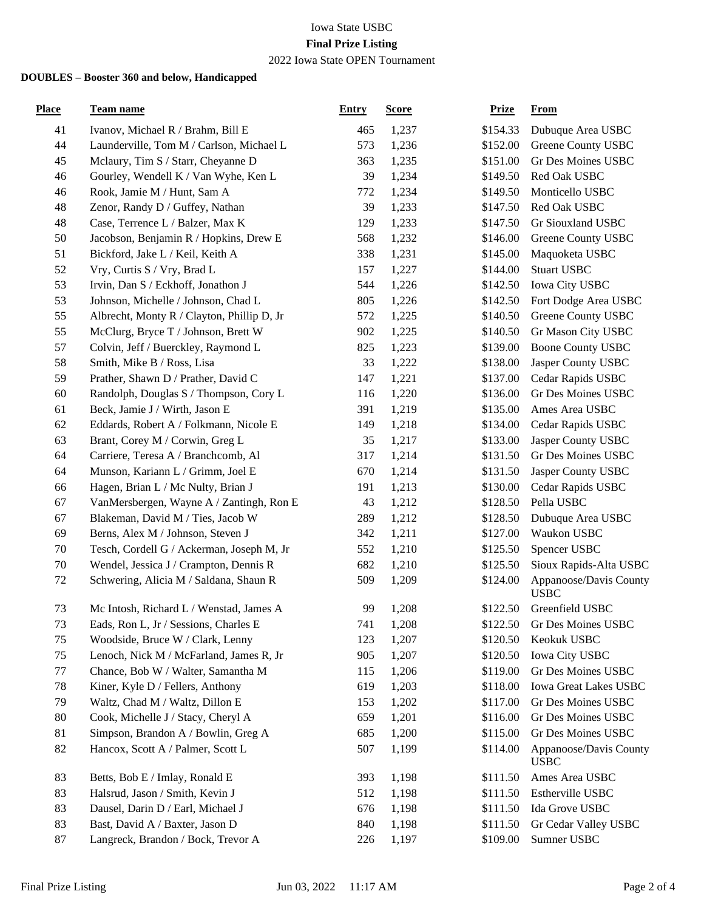## Iowa State USBC **Final Prize Listing**

# 2022 Iowa State OPEN Tournament

| <b>Place</b> | Team name                                  | <b>Entry</b> | <b>Score</b> | <b>Prize</b> | <b>From</b>                           |
|--------------|--------------------------------------------|--------------|--------------|--------------|---------------------------------------|
| 41           | Ivanov, Michael R / Brahm, Bill E          | 465          | 1,237        | \$154.33     | Dubuque Area USBC                     |
| 44           | Launderville, Tom M / Carlson, Michael L   | 573          | 1,236        | \$152.00     | Greene County USBC                    |
| 45           | Mclaury, Tim S / Starr, Cheyanne D         | 363          | 1,235        | \$151.00     | Gr Des Moines USBC                    |
| 46           | Gourley, Wendell K / Van Wyhe, Ken L       | 39           | 1,234        | \$149.50     | Red Oak USBC                          |
| 46           | Rook, Jamie M / Hunt, Sam A                | 772          | 1,234        | \$149.50     | Monticello USBC                       |
| 48           | Zenor, Randy D / Guffey, Nathan            | 39           | 1,233        | \$147.50     | Red Oak USBC                          |
| 48           | Case, Terrence L / Balzer, Max K           | 129          | 1,233        | \$147.50     | Gr Siouxland USBC                     |
| 50           | Jacobson, Benjamin R / Hopkins, Drew E     | 568          | 1,232        | \$146.00     | Greene County USBC                    |
| 51           | Bickford, Jake L / Keil, Keith A           | 338          | 1,231        | \$145.00     | Maquoketa USBC                        |
| 52           | Vry, Curtis S / Vry, Brad L                | 157          | 1,227        | \$144.00     | <b>Stuart USBC</b>                    |
| 53           | Irvin, Dan S / Eckhoff, Jonathon J         | 544          | 1,226        | \$142.50     | Iowa City USBC                        |
| 53           | Johnson, Michelle / Johnson, Chad L        | 805          | 1,226        | \$142.50     | Fort Dodge Area USBC                  |
| 55           | Albrecht, Monty R / Clayton, Phillip D, Jr | 572          | 1,225        | \$140.50     | Greene County USBC                    |
| 55           | McClurg, Bryce T / Johnson, Brett W        | 902          | 1,225        | \$140.50     | Gr Mason City USBC                    |
| 57           | Colvin, Jeff / Buerckley, Raymond L        | 825          | 1,223        | \$139.00     | <b>Boone County USBC</b>              |
| 58           | Smith, Mike B / Ross, Lisa                 | 33           | 1,222        | \$138.00     | Jasper County USBC                    |
| 59           | Prather, Shawn D / Prather, David C        | 147          | 1,221        | \$137.00     | Cedar Rapids USBC                     |
| 60           | Randolph, Douglas S / Thompson, Cory L     | 116          | 1,220        | \$136.00     | Gr Des Moines USBC                    |
| 61           | Beck, Jamie J / Wirth, Jason E             | 391          | 1,219        | \$135.00     | Ames Area USBC                        |
| 62           | Eddards, Robert A / Folkmann, Nicole E     | 149          | 1,218        | \$134.00     | Cedar Rapids USBC                     |
| 63           | Brant, Corey M / Corwin, Greg L            | 35           | 1,217        | \$133.00     | Jasper County USBC                    |
| 64           | Carriere, Teresa A / Branchcomb, Al        | 317          | 1,214        | \$131.50     | Gr Des Moines USBC                    |
| 64           | Munson, Kariann L / Grimm, Joel E          | 670          | 1,214        | \$131.50     | Jasper County USBC                    |
| 66           | Hagen, Brian L / Mc Nulty, Brian J         | 191          | 1,213        | \$130.00     | Cedar Rapids USBC                     |
| 67           | VanMersbergen, Wayne A / Zantingh, Ron E   | 43           | 1,212        | \$128.50     | Pella USBC                            |
| 67           | Blakeman, David M / Ties, Jacob W          | 289          | 1,212        | \$128.50     | Dubuque Area USBC                     |
| 69           | Berns, Alex M / Johnson, Steven J          | 342          | 1,211        | \$127.00     | Waukon USBC                           |
| 70           | Tesch, Cordell G / Ackerman, Joseph M, Jr  | 552          | 1,210        | \$125.50     | Spencer USBC                          |
| 70           | Wendel, Jessica J / Crampton, Dennis R     | 682          | 1,210        | \$125.50     | Sioux Rapids-Alta USBC                |
| 72           | Schwering, Alicia M / Saldana, Shaun R     | 509          | 1,209        | \$124.00     | Appanoose/Davis County<br><b>USBC</b> |
| 73           | Mc Intosh, Richard L / Wenstad, James A    | 99           | 1,208        | \$122.50     | Greenfield USBC                       |
| 73           | Eads, Ron L, Jr / Sessions, Charles E      | 741          | 1,208        | \$122.50     | Gr Des Moines USBC                    |
| 75           | Woodside, Bruce W / Clark, Lenny           | 123          | 1,207        | \$120.50     | Keokuk USBC                           |
| 75           | Lenoch, Nick M / McFarland, James R, Jr    | 905          | 1,207        | \$120.50     | Iowa City USBC                        |
| 77           | Chance, Bob W / Walter, Samantha M         | 115          | 1,206        | \$119.00     | Gr Des Moines USBC                    |
| 78           | Kiner, Kyle D / Fellers, Anthony           | 619          | 1,203        | \$118.00     | Iowa Great Lakes USBC                 |
| 79           | Waltz, Chad M / Waltz, Dillon E            | 153          | 1,202        | \$117.00     | Gr Des Moines USBC                    |
| 80           | Cook, Michelle J / Stacy, Cheryl A         | 659          | 1,201        | \$116.00     | Gr Des Moines USBC                    |
| 81           | Simpson, Brandon A / Bowlin, Greg A        | 685          | 1,200        | \$115.00     | Gr Des Moines USBC                    |
| 82           | Hancox, Scott A / Palmer, Scott L          | 507          | 1,199        | \$114.00     | Appanoose/Davis County<br><b>USBC</b> |
| 83           | Betts, Bob E / Imlay, Ronald E             | 393          | 1,198        | \$111.50     | Ames Area USBC                        |
| 83           | Halsrud, Jason / Smith, Kevin J            | 512          | 1,198        | \$111.50     | Estherville USBC                      |
| 83           | Dausel, Darin D / Earl, Michael J          | 676          | 1,198        | \$111.50     | Ida Grove USBC                        |
| 83           | Bast, David A / Baxter, Jason D            | 840          | 1,198        | \$111.50     | Gr Cedar Valley USBC                  |
| 87           | Langreck, Brandon / Bock, Trevor A         | 226          | 1,197        | \$109.00     | Sumner USBC                           |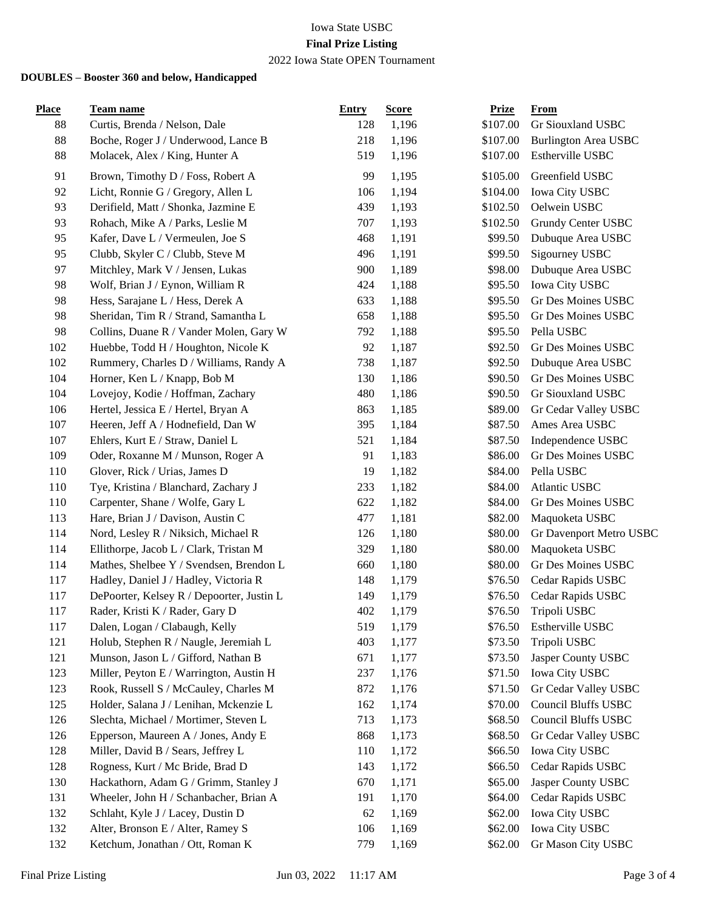# Iowa State USBC **Final Prize Listing**

# 2022 Iowa State OPEN Tournament

| <b>Place</b> | <u>Team name</u>                          | Entry | <b>Score</b> | <b>Prize</b> | From                        |
|--------------|-------------------------------------------|-------|--------------|--------------|-----------------------------|
| 88           | Curtis, Brenda / Nelson, Dale             | 128   | 1,196        | \$107.00     | Gr Siouxland USBC           |
| 88           | Boche, Roger J / Underwood, Lance B       | 218   | 1,196        | \$107.00     | <b>Burlington Area USBC</b> |
| 88           | Molacek, Alex / King, Hunter A            | 519   | 1,196        | \$107.00     | Estherville USBC            |
| 91           | Brown, Timothy D / Foss, Robert A         | 99    | 1,195        | \$105.00     | Greenfield USBC             |
| 92           | Licht, Ronnie G / Gregory, Allen L        | 106   | 1,194        | \$104.00     | Iowa City USBC              |
| 93           | Derifield, Matt / Shonka, Jazmine E       | 439   | 1,193        | \$102.50     | Oelwein USBC                |
| 93           | Rohach, Mike A / Parks, Leslie M          | 707   | 1,193        | \$102.50     | Grundy Center USBC          |
| 95           | Kafer, Dave L / Vermeulen, Joe S          | 468   | 1,191        | \$99.50      | Dubuque Area USBC           |
| 95           | Clubb, Skyler C / Clubb, Steve M          | 496   | 1,191        | \$99.50      | Sigourney USBC              |
| 97           | Mitchley, Mark V / Jensen, Lukas          | 900   | 1,189        | \$98.00      | Dubuque Area USBC           |
| 98           | Wolf, Brian J / Eynon, William R          | 424   | 1,188        | \$95.50      | Iowa City USBC              |
| 98           | Hess, Sarajane L / Hess, Derek A          | 633   | 1,188        | \$95.50      | Gr Des Moines USBC          |
| 98           | Sheridan, Tim R / Strand, Samantha L      | 658   | 1,188        | \$95.50      | Gr Des Moines USBC          |
| 98           | Collins, Duane R / Vander Molen, Gary W   | 792   | 1,188        | \$95.50      | Pella USBC                  |
| 102          | Huebbe, Todd H / Houghton, Nicole K       | 92    | 1,187        | \$92.50      | Gr Des Moines USBC          |
| 102          | Rummery, Charles D / Williams, Randy A    | 738   | 1,187        | \$92.50      | Dubuque Area USBC           |
| 104          | Horner, Ken L / Knapp, Bob M              | 130   | 1,186        | \$90.50      | Gr Des Moines USBC          |
| 104          | Lovejoy, Kodie / Hoffman, Zachary         | 480   | 1,186        | \$90.50      | Gr Siouxland USBC           |
| 106          | Hertel, Jessica E / Hertel, Bryan A       | 863   | 1,185        | \$89.00      | Gr Cedar Valley USBC        |
| 107          | Heeren, Jeff A / Hodnefield, Dan W        | 395   | 1,184        | \$87.50      | Ames Area USBC              |
| 107          | Ehlers, Kurt E / Straw, Daniel L          | 521   | 1,184        | \$87.50      | Independence USBC           |
| 109          | Oder, Roxanne M / Munson, Roger A         | 91    | 1,183        | \$86.00      | Gr Des Moines USBC          |
| 110          | Glover, Rick / Urias, James D             | 19    | 1,182        | \$84.00      | Pella USBC                  |
| 110          | Tye, Kristina / Blanchard, Zachary J      | 233   | 1,182        | \$84.00      | Atlantic USBC               |
| 110          | Carpenter, Shane / Wolfe, Gary L          | 622   | 1,182        | \$84.00      | Gr Des Moines USBC          |
| 113          | Hare, Brian J / Davison, Austin C         | 477   | 1,181        | \$82.00      | Maquoketa USBC              |
| 114          | Nord, Lesley R / Niksich, Michael R       | 126   | 1,180        | \$80.00      | Gr Davenport Metro USBC     |
| 114          | Ellithorpe, Jacob L / Clark, Tristan M    | 329   | 1,180        | \$80.00      | Maquoketa USBC              |
| 114          | Mathes, Shelbee Y / Svendsen, Brendon L   | 660   | 1,180        | \$80.00      | Gr Des Moines USBC          |
| 117          | Hadley, Daniel J / Hadley, Victoria R     | 148   | 1,179        | \$76.50      | Cedar Rapids USBC           |
| 117          | DePoorter, Kelsey R / Depoorter, Justin L | 149   | 1,179        | \$76.50      | Cedar Rapids USBC           |
| 117          | Rader, Kristi K / Rader, Gary D           | 402   | 1,179        | \$76.50      | Tripoli USBC                |
| 117          | Dalen, Logan / Clabaugh, Kelly            | 519   | 1,179        | \$76.50      | Estherville USBC            |
| 121          | Holub, Stephen R / Naugle, Jeremiah L     | 403   | 1,177        | \$73.50      | Tripoli USBC                |
| 121          | Munson, Jason L / Gifford, Nathan B       | 671   | 1,177        | \$73.50      | Jasper County USBC          |
| 123          | Miller, Peyton E / Warrington, Austin H   | 237   | 1,176        | \$71.50      | Iowa City USBC              |
| 123          | Rook, Russell S / McCauley, Charles M     | 872   | 1,176        | \$71.50      | Gr Cedar Valley USBC        |
| 125          | Holder, Salana J / Lenihan, Mckenzie L    | 162   | 1,174        | \$70.00      | <b>Council Bluffs USBC</b>  |
| 126          | Slechta, Michael / Mortimer, Steven L     | 713   | 1,173        | \$68.50      | Council Bluffs USBC         |
| 126          | Epperson, Maureen A / Jones, Andy E       | 868   | 1,173        | \$68.50      | Gr Cedar Valley USBC        |
| 128          | Miller, David B / Sears, Jeffrey L        | 110   | 1,172        | \$66.50      | <b>Iowa City USBC</b>       |
| 128          | Rogness, Kurt / Mc Bride, Brad D          | 143   | 1,172        | \$66.50      | Cedar Rapids USBC           |
| 130          | Hackathorn, Adam G / Grimm, Stanley J     | 670   | 1,171        | \$65.00      | Jasper County USBC          |
| 131          | Wheeler, John H / Schanbacher, Brian A    | 191   | 1,170        | \$64.00      | Cedar Rapids USBC           |
| 132          | Schlaht, Kyle J / Lacey, Dustin D         | 62    | 1,169        | \$62.00      | Iowa City USBC              |
| 132          | Alter, Bronson E / Alter, Ramey S         | 106   | 1,169        | \$62.00      | Iowa City USBC              |
| 132          | Ketchum, Jonathan / Ott, Roman K          | 779   | 1,169        | \$62.00      | Gr Mason City USBC          |
|              |                                           |       |              |              |                             |